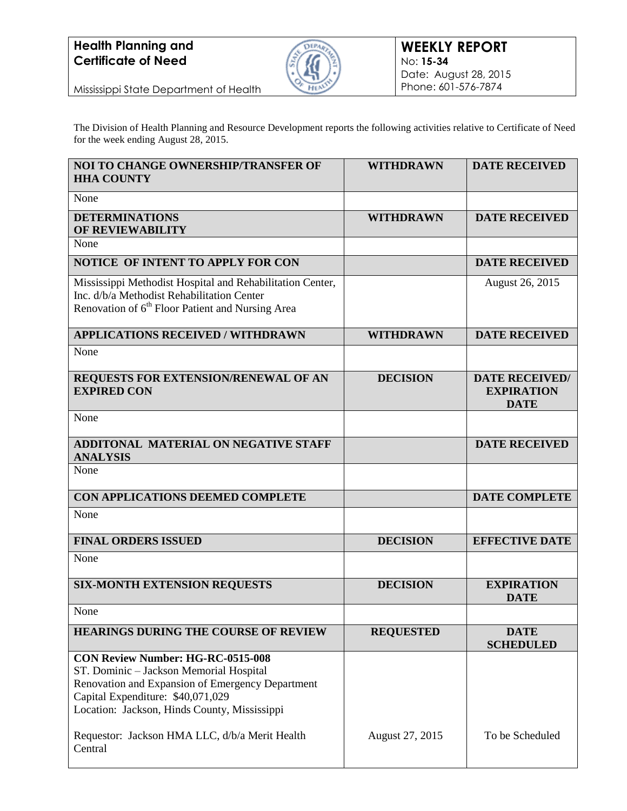

Mississippi State Department of Health

The Division of Health Planning and Resource Development reports the following activities relative to Certificate of Need for the week ending August 28, 2015.

| <b>NOI TO CHANGE OWNERSHIP/TRANSFER OF</b><br><b>HHA COUNTY</b>                                                                                                                                                                                                                | <b>WITHDRAWN</b> | <b>DATE RECEIVED</b>                                      |
|--------------------------------------------------------------------------------------------------------------------------------------------------------------------------------------------------------------------------------------------------------------------------------|------------------|-----------------------------------------------------------|
| None                                                                                                                                                                                                                                                                           |                  |                                                           |
| <b>DETERMINATIONS</b><br><b>OF REVIEWABILITY</b>                                                                                                                                                                                                                               | <b>WITHDRAWN</b> | <b>DATE RECEIVED</b>                                      |
| None                                                                                                                                                                                                                                                                           |                  |                                                           |
| NOTICE OF INTENT TO APPLY FOR CON                                                                                                                                                                                                                                              |                  | <b>DATE RECEIVED</b>                                      |
| Mississippi Methodist Hospital and Rehabilitation Center,<br>Inc. d/b/a Methodist Rehabilitation Center<br>Renovation of 6 <sup>th</sup> Floor Patient and Nursing Area                                                                                                        |                  | August 26, 2015                                           |
| <b>APPLICATIONS RECEIVED / WITHDRAWN</b>                                                                                                                                                                                                                                       | <b>WITHDRAWN</b> | <b>DATE RECEIVED</b>                                      |
| None                                                                                                                                                                                                                                                                           |                  |                                                           |
| REQUESTS FOR EXTENSION/RENEWAL OF AN<br><b>EXPIRED CON</b>                                                                                                                                                                                                                     | <b>DECISION</b>  | <b>DATE RECEIVED/</b><br><b>EXPIRATION</b><br><b>DATE</b> |
| None                                                                                                                                                                                                                                                                           |                  |                                                           |
| ADDITONAL MATERIAL ON NEGATIVE STAFF<br><b>ANALYSIS</b>                                                                                                                                                                                                                        |                  | <b>DATE RECEIVED</b>                                      |
| None                                                                                                                                                                                                                                                                           |                  |                                                           |
| CON APPLICATIONS DEEMED COMPLETE                                                                                                                                                                                                                                               |                  | <b>DATE COMPLETE</b>                                      |
| None                                                                                                                                                                                                                                                                           |                  |                                                           |
| <b>FINAL ORDERS ISSUED</b>                                                                                                                                                                                                                                                     | <b>DECISION</b>  | <b>EFFECTIVE DATE</b>                                     |
| None                                                                                                                                                                                                                                                                           |                  |                                                           |
| <b>SIX-MONTH EXTENSION REQUESTS</b>                                                                                                                                                                                                                                            | <b>DECISION</b>  | <b>EXPIRATION</b><br><b>DATE</b>                          |
| None                                                                                                                                                                                                                                                                           |                  |                                                           |
| <b>HEARINGS DURING THE COURSE OF REVIEW</b>                                                                                                                                                                                                                                    | <b>REQUESTED</b> | <b>DATE</b><br><b>SCHEDULED</b>                           |
| <b>CON Review Number: HG-RC-0515-008</b><br>ST. Dominic - Jackson Memorial Hospital<br>Renovation and Expansion of Emergency Department<br>Capital Expenditure: \$40,071,029<br>Location: Jackson, Hinds County, Mississippi<br>Requestor: Jackson HMA LLC, d/b/a Merit Health | August 27, 2015  | To be Scheduled                                           |
| Central                                                                                                                                                                                                                                                                        |                  |                                                           |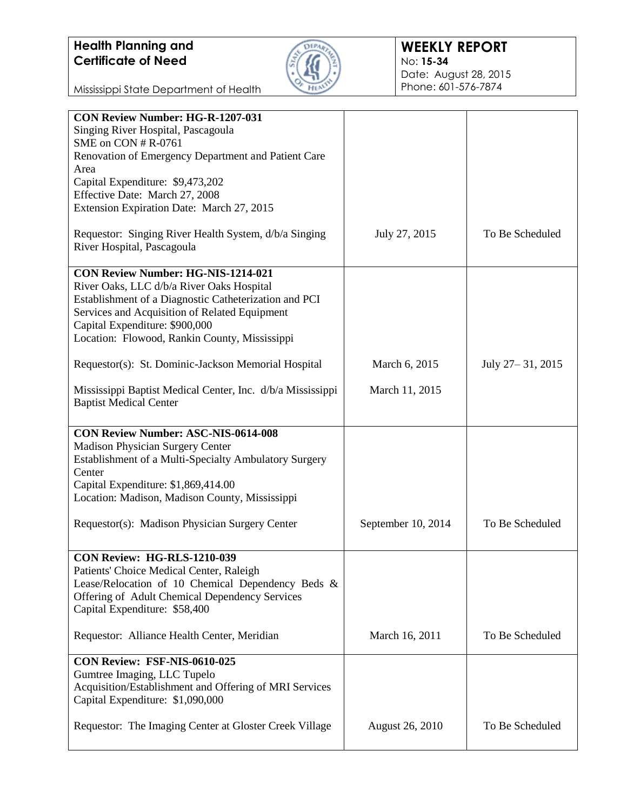

#### **WEEKLY REPORT** No: **15-34** Date: August 28, 2015 Phone: 601-576-7874

Mississippi State Department of Health

| <b>CON Review Number: HG-R-1207-031</b>                    |                        |                  |
|------------------------------------------------------------|------------------------|------------------|
|                                                            |                        |                  |
| Singing River Hospital, Pascagoula                         |                        |                  |
| SME on CON # R-0761                                        |                        |                  |
| Renovation of Emergency Department and Patient Care        |                        |                  |
| Area                                                       |                        |                  |
| Capital Expenditure: \$9,473,202                           |                        |                  |
| Effective Date: March 27, 2008                             |                        |                  |
| Extension Expiration Date: March 27, 2015                  |                        |                  |
|                                                            |                        |                  |
| Requestor: Singing River Health System, d/b/a Singing      | July 27, 2015          | To Be Scheduled  |
| River Hospital, Pascagoula                                 |                        |                  |
|                                                            |                        |                  |
| <b>CON Review Number: HG-NIS-1214-021</b>                  |                        |                  |
| River Oaks, LLC d/b/a River Oaks Hospital                  |                        |                  |
| Establishment of a Diagnostic Catheterization and PCI      |                        |                  |
|                                                            |                        |                  |
| Services and Acquisition of Related Equipment              |                        |                  |
| Capital Expenditure: \$900,000                             |                        |                  |
| Location: Flowood, Rankin County, Mississippi              |                        |                  |
|                                                            |                        |                  |
| Requestor(s): St. Dominic-Jackson Memorial Hospital        | March 6, 2015          | July 27-31, 2015 |
|                                                            |                        |                  |
| Mississippi Baptist Medical Center, Inc. d/b/a Mississippi | March 11, 2015         |                  |
| <b>Baptist Medical Center</b>                              |                        |                  |
|                                                            |                        |                  |
| <b>CON Review Number: ASC-NIS-0614-008</b>                 |                        |                  |
| Madison Physician Surgery Center                           |                        |                  |
| Establishment of a Multi-Specialty Ambulatory Surgery      |                        |                  |
| Center                                                     |                        |                  |
| Capital Expenditure: \$1,869,414.00                        |                        |                  |
| Location: Madison, Madison County, Mississippi             |                        |                  |
|                                                            |                        |                  |
| Requestor(s): Madison Physician Surgery Center             | September 10, 2014     | To Be Scheduled  |
|                                                            |                        |                  |
|                                                            |                        |                  |
| CON Review: HG-RLS-1210-039                                |                        |                  |
| Patients' Choice Medical Center, Raleigh                   |                        |                  |
| Lease/Relocation of 10 Chemical Dependency Beds &          |                        |                  |
| Offering of Adult Chemical Dependency Services             |                        |                  |
| Capital Expenditure: \$58,400                              |                        |                  |
|                                                            |                        |                  |
| Requestor: Alliance Health Center, Meridian                | March 16, 2011         | To Be Scheduled  |
|                                                            |                        |                  |
| CON Review: FSF-NIS-0610-025                               |                        |                  |
| Gumtree Imaging, LLC Tupelo                                |                        |                  |
| Acquisition/Establishment and Offering of MRI Services     |                        |                  |
| Capital Expenditure: \$1,090,000                           |                        |                  |
|                                                            |                        |                  |
| Requestor: The Imaging Center at Gloster Creek Village     | <b>August 26, 2010</b> | To Be Scheduled  |
|                                                            |                        |                  |
|                                                            |                        |                  |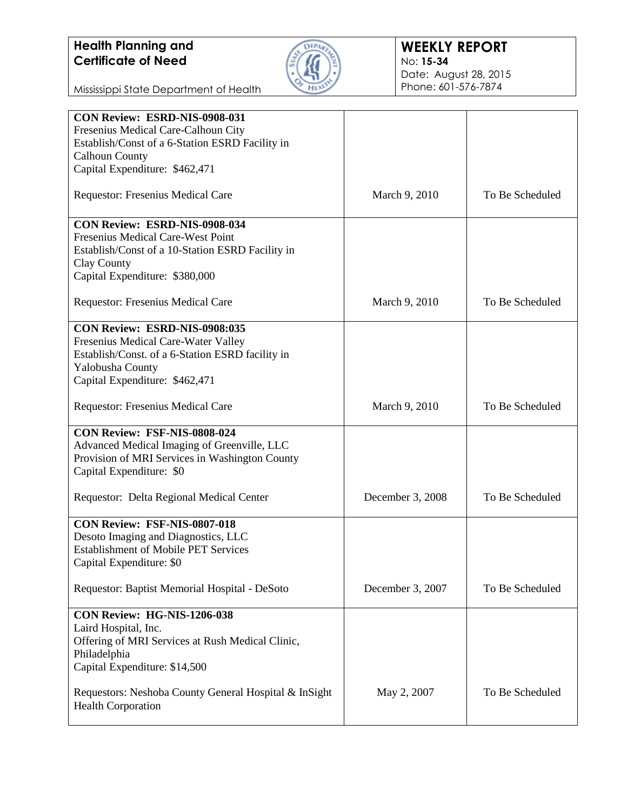

#### **WEEKLY REPORT** No: **15-34** Date: August 28, 2015 Phone: 601-576-7874

Mississippi State Department of Health

| Fresenius Medical Care-Calhoun City<br>Establish/Const of a 6-Station ESRD Facility in<br><b>Calhoun County</b><br>Capital Expenditure: \$462,471<br>To Be Scheduled<br><b>Requestor: Fresenius Medical Care</b><br>March 9, 2010<br>CON Review: ESRD-NIS-0908-034<br>Fresenius Medical Care-West Point<br>Establish/Const of a 10-Station ESRD Facility in<br>Clay County<br>Capital Expenditure: \$380,000<br>To Be Scheduled<br><b>Requestor: Fresenius Medical Care</b><br>March 9, 2010<br><b>CON Review: ESRD-NIS-0908:035</b><br>Fresenius Medical Care-Water Valley<br>Establish/Const. of a 6-Station ESRD facility in<br>Yalobusha County<br>Capital Expenditure: \$462,471<br>Requestor: Fresenius Medical Care<br>To Be Scheduled<br>March 9, 2010<br>CON Review: FSF-NIS-0808-024<br>Advanced Medical Imaging of Greenville, LLC<br>Provision of MRI Services in Washington County<br>Capital Expenditure: \$0<br>To Be Scheduled<br>Requestor: Delta Regional Medical Center<br>December 3, 2008<br>CON Review: FSF-NIS-0807-018<br>Desoto Imaging and Diagnostics, LLC<br><b>Establishment of Mobile PET Services</b><br>Capital Expenditure: \$0<br>Requestor: Baptist Memorial Hospital - DeSoto<br>December 3, 2007<br>To Be Scheduled<br>CON Review: HG-NIS-1206-038<br>Laird Hospital, Inc.<br>Offering of MRI Services at Rush Medical Clinic,<br>Philadelphia<br>Capital Expenditure: \$14,500<br>To Be Scheduled<br>Requestors: Neshoba County General Hospital & InSight<br>May 2, 2007<br><b>Health Corporation</b> | CON Review: ESRD-NIS-0908-031 |  |
|----------------------------------------------------------------------------------------------------------------------------------------------------------------------------------------------------------------------------------------------------------------------------------------------------------------------------------------------------------------------------------------------------------------------------------------------------------------------------------------------------------------------------------------------------------------------------------------------------------------------------------------------------------------------------------------------------------------------------------------------------------------------------------------------------------------------------------------------------------------------------------------------------------------------------------------------------------------------------------------------------------------------------------------------------------------------------------------------------------------------------------------------------------------------------------------------------------------------------------------------------------------------------------------------------------------------------------------------------------------------------------------------------------------------------------------------------------------------------------------------------------------------------------------------|-------------------------------|--|
|                                                                                                                                                                                                                                                                                                                                                                                                                                                                                                                                                                                                                                                                                                                                                                                                                                                                                                                                                                                                                                                                                                                                                                                                                                                                                                                                                                                                                                                                                                                                              |                               |  |
|                                                                                                                                                                                                                                                                                                                                                                                                                                                                                                                                                                                                                                                                                                                                                                                                                                                                                                                                                                                                                                                                                                                                                                                                                                                                                                                                                                                                                                                                                                                                              |                               |  |
|                                                                                                                                                                                                                                                                                                                                                                                                                                                                                                                                                                                                                                                                                                                                                                                                                                                                                                                                                                                                                                                                                                                                                                                                                                                                                                                                                                                                                                                                                                                                              |                               |  |
|                                                                                                                                                                                                                                                                                                                                                                                                                                                                                                                                                                                                                                                                                                                                                                                                                                                                                                                                                                                                                                                                                                                                                                                                                                                                                                                                                                                                                                                                                                                                              |                               |  |
|                                                                                                                                                                                                                                                                                                                                                                                                                                                                                                                                                                                                                                                                                                                                                                                                                                                                                                                                                                                                                                                                                                                                                                                                                                                                                                                                                                                                                                                                                                                                              |                               |  |
|                                                                                                                                                                                                                                                                                                                                                                                                                                                                                                                                                                                                                                                                                                                                                                                                                                                                                                                                                                                                                                                                                                                                                                                                                                                                                                                                                                                                                                                                                                                                              |                               |  |
|                                                                                                                                                                                                                                                                                                                                                                                                                                                                                                                                                                                                                                                                                                                                                                                                                                                                                                                                                                                                                                                                                                                                                                                                                                                                                                                                                                                                                                                                                                                                              |                               |  |
|                                                                                                                                                                                                                                                                                                                                                                                                                                                                                                                                                                                                                                                                                                                                                                                                                                                                                                                                                                                                                                                                                                                                                                                                                                                                                                                                                                                                                                                                                                                                              |                               |  |
|                                                                                                                                                                                                                                                                                                                                                                                                                                                                                                                                                                                                                                                                                                                                                                                                                                                                                                                                                                                                                                                                                                                                                                                                                                                                                                                                                                                                                                                                                                                                              |                               |  |
|                                                                                                                                                                                                                                                                                                                                                                                                                                                                                                                                                                                                                                                                                                                                                                                                                                                                                                                                                                                                                                                                                                                                                                                                                                                                                                                                                                                                                                                                                                                                              |                               |  |
|                                                                                                                                                                                                                                                                                                                                                                                                                                                                                                                                                                                                                                                                                                                                                                                                                                                                                                                                                                                                                                                                                                                                                                                                                                                                                                                                                                                                                                                                                                                                              |                               |  |
|                                                                                                                                                                                                                                                                                                                                                                                                                                                                                                                                                                                                                                                                                                                                                                                                                                                                                                                                                                                                                                                                                                                                                                                                                                                                                                                                                                                                                                                                                                                                              |                               |  |
|                                                                                                                                                                                                                                                                                                                                                                                                                                                                                                                                                                                                                                                                                                                                                                                                                                                                                                                                                                                                                                                                                                                                                                                                                                                                                                                                                                                                                                                                                                                                              |                               |  |
|                                                                                                                                                                                                                                                                                                                                                                                                                                                                                                                                                                                                                                                                                                                                                                                                                                                                                                                                                                                                                                                                                                                                                                                                                                                                                                                                                                                                                                                                                                                                              |                               |  |
|                                                                                                                                                                                                                                                                                                                                                                                                                                                                                                                                                                                                                                                                                                                                                                                                                                                                                                                                                                                                                                                                                                                                                                                                                                                                                                                                                                                                                                                                                                                                              |                               |  |
|                                                                                                                                                                                                                                                                                                                                                                                                                                                                                                                                                                                                                                                                                                                                                                                                                                                                                                                                                                                                                                                                                                                                                                                                                                                                                                                                                                                                                                                                                                                                              |                               |  |
|                                                                                                                                                                                                                                                                                                                                                                                                                                                                                                                                                                                                                                                                                                                                                                                                                                                                                                                                                                                                                                                                                                                                                                                                                                                                                                                                                                                                                                                                                                                                              |                               |  |
|                                                                                                                                                                                                                                                                                                                                                                                                                                                                                                                                                                                                                                                                                                                                                                                                                                                                                                                                                                                                                                                                                                                                                                                                                                                                                                                                                                                                                                                                                                                                              |                               |  |
|                                                                                                                                                                                                                                                                                                                                                                                                                                                                                                                                                                                                                                                                                                                                                                                                                                                                                                                                                                                                                                                                                                                                                                                                                                                                                                                                                                                                                                                                                                                                              |                               |  |
|                                                                                                                                                                                                                                                                                                                                                                                                                                                                                                                                                                                                                                                                                                                                                                                                                                                                                                                                                                                                                                                                                                                                                                                                                                                                                                                                                                                                                                                                                                                                              |                               |  |
|                                                                                                                                                                                                                                                                                                                                                                                                                                                                                                                                                                                                                                                                                                                                                                                                                                                                                                                                                                                                                                                                                                                                                                                                                                                                                                                                                                                                                                                                                                                                              |                               |  |
|                                                                                                                                                                                                                                                                                                                                                                                                                                                                                                                                                                                                                                                                                                                                                                                                                                                                                                                                                                                                                                                                                                                                                                                                                                                                                                                                                                                                                                                                                                                                              |                               |  |
|                                                                                                                                                                                                                                                                                                                                                                                                                                                                                                                                                                                                                                                                                                                                                                                                                                                                                                                                                                                                                                                                                                                                                                                                                                                                                                                                                                                                                                                                                                                                              |                               |  |
|                                                                                                                                                                                                                                                                                                                                                                                                                                                                                                                                                                                                                                                                                                                                                                                                                                                                                                                                                                                                                                                                                                                                                                                                                                                                                                                                                                                                                                                                                                                                              |                               |  |
|                                                                                                                                                                                                                                                                                                                                                                                                                                                                                                                                                                                                                                                                                                                                                                                                                                                                                                                                                                                                                                                                                                                                                                                                                                                                                                                                                                                                                                                                                                                                              |                               |  |
|                                                                                                                                                                                                                                                                                                                                                                                                                                                                                                                                                                                                                                                                                                                                                                                                                                                                                                                                                                                                                                                                                                                                                                                                                                                                                                                                                                                                                                                                                                                                              |                               |  |
|                                                                                                                                                                                                                                                                                                                                                                                                                                                                                                                                                                                                                                                                                                                                                                                                                                                                                                                                                                                                                                                                                                                                                                                                                                                                                                                                                                                                                                                                                                                                              |                               |  |
|                                                                                                                                                                                                                                                                                                                                                                                                                                                                                                                                                                                                                                                                                                                                                                                                                                                                                                                                                                                                                                                                                                                                                                                                                                                                                                                                                                                                                                                                                                                                              |                               |  |
|                                                                                                                                                                                                                                                                                                                                                                                                                                                                                                                                                                                                                                                                                                                                                                                                                                                                                                                                                                                                                                                                                                                                                                                                                                                                                                                                                                                                                                                                                                                                              |                               |  |
|                                                                                                                                                                                                                                                                                                                                                                                                                                                                                                                                                                                                                                                                                                                                                                                                                                                                                                                                                                                                                                                                                                                                                                                                                                                                                                                                                                                                                                                                                                                                              |                               |  |
|                                                                                                                                                                                                                                                                                                                                                                                                                                                                                                                                                                                                                                                                                                                                                                                                                                                                                                                                                                                                                                                                                                                                                                                                                                                                                                                                                                                                                                                                                                                                              |                               |  |
|                                                                                                                                                                                                                                                                                                                                                                                                                                                                                                                                                                                                                                                                                                                                                                                                                                                                                                                                                                                                                                                                                                                                                                                                                                                                                                                                                                                                                                                                                                                                              |                               |  |
|                                                                                                                                                                                                                                                                                                                                                                                                                                                                                                                                                                                                                                                                                                                                                                                                                                                                                                                                                                                                                                                                                                                                                                                                                                                                                                                                                                                                                                                                                                                                              |                               |  |
|                                                                                                                                                                                                                                                                                                                                                                                                                                                                                                                                                                                                                                                                                                                                                                                                                                                                                                                                                                                                                                                                                                                                                                                                                                                                                                                                                                                                                                                                                                                                              |                               |  |
|                                                                                                                                                                                                                                                                                                                                                                                                                                                                                                                                                                                                                                                                                                                                                                                                                                                                                                                                                                                                                                                                                                                                                                                                                                                                                                                                                                                                                                                                                                                                              |                               |  |
|                                                                                                                                                                                                                                                                                                                                                                                                                                                                                                                                                                                                                                                                                                                                                                                                                                                                                                                                                                                                                                                                                                                                                                                                                                                                                                                                                                                                                                                                                                                                              |                               |  |
|                                                                                                                                                                                                                                                                                                                                                                                                                                                                                                                                                                                                                                                                                                                                                                                                                                                                                                                                                                                                                                                                                                                                                                                                                                                                                                                                                                                                                                                                                                                                              |                               |  |
|                                                                                                                                                                                                                                                                                                                                                                                                                                                                                                                                                                                                                                                                                                                                                                                                                                                                                                                                                                                                                                                                                                                                                                                                                                                                                                                                                                                                                                                                                                                                              |                               |  |
|                                                                                                                                                                                                                                                                                                                                                                                                                                                                                                                                                                                                                                                                                                                                                                                                                                                                                                                                                                                                                                                                                                                                                                                                                                                                                                                                                                                                                                                                                                                                              |                               |  |
|                                                                                                                                                                                                                                                                                                                                                                                                                                                                                                                                                                                                                                                                                                                                                                                                                                                                                                                                                                                                                                                                                                                                                                                                                                                                                                                                                                                                                                                                                                                                              |                               |  |
|                                                                                                                                                                                                                                                                                                                                                                                                                                                                                                                                                                                                                                                                                                                                                                                                                                                                                                                                                                                                                                                                                                                                                                                                                                                                                                                                                                                                                                                                                                                                              |                               |  |